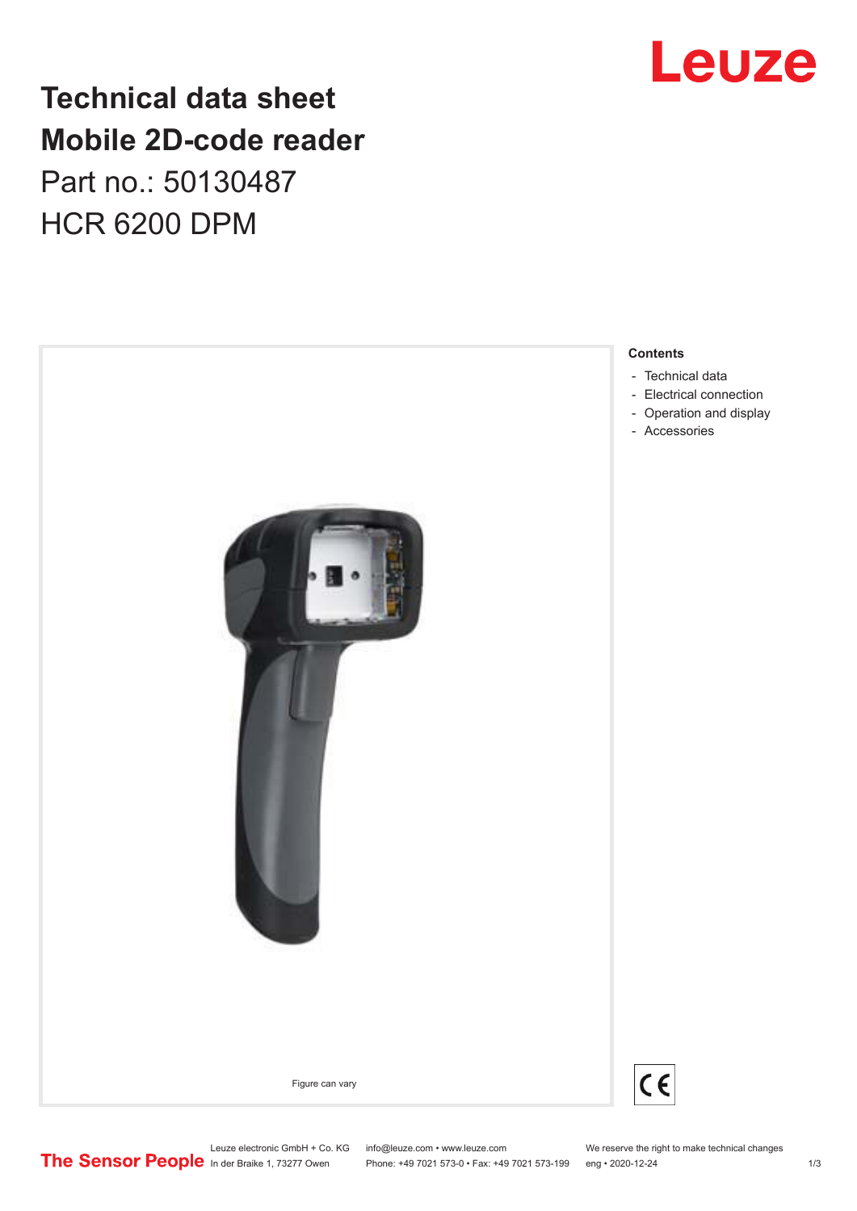### **Technical data sheet Mobile 2D-code reader** Part no.: 50130487 HCR 6200 DPM



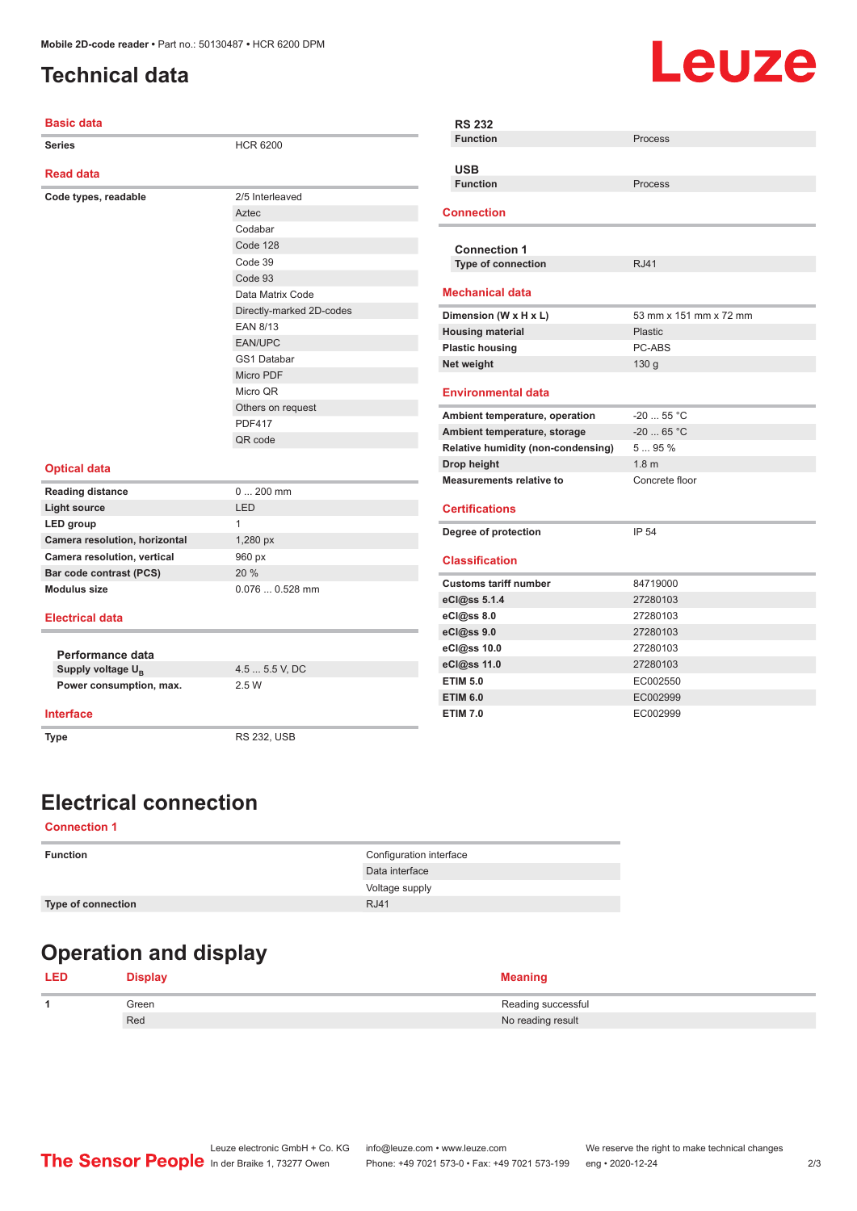#### <span id="page-1-0"></span>**Technical data**

# Leuze

| <b>Basic data</b>             |                          | <b>RS 232</b>                      |                        |
|-------------------------------|--------------------------|------------------------------------|------------------------|
| <b>Series</b>                 | <b>HCR 6200</b>          | <b>Function</b>                    | Process                |
|                               |                          | <b>USB</b>                         |                        |
| <b>Read data</b>              |                          | <b>Function</b>                    | Process                |
| Code types, readable          | 2/5 Interleaved          |                                    |                        |
|                               | Aztec                    | <b>Connection</b>                  |                        |
|                               | Codabar                  |                                    |                        |
|                               | Code 128                 | <b>Connection 1</b>                |                        |
|                               | Code 39                  | Type of connection                 | <b>RJ41</b>            |
|                               | Code 93                  |                                    |                        |
|                               | Data Matrix Code         | <b>Mechanical data</b>             |                        |
|                               | Directly-marked 2D-codes | Dimension (W x H x L)              | 53 mm x 151 mm x 72 mm |
|                               | EAN 8/13                 | <b>Housing material</b>            | Plastic                |
|                               | <b>EAN/UPC</b>           | <b>Plastic housing</b>             | PC-ABS                 |
|                               | <b>GS1 Databar</b>       | Net weight                         | 130 <sub>g</sub>       |
|                               | Micro PDF                |                                    |                        |
|                               | Micro QR                 | <b>Environmental data</b>          |                        |
|                               | Others on request        | Ambient temperature, operation     | $-2055$ °C             |
|                               | <b>PDF417</b>            | Ambient temperature, storage       | $-20$ 65 °C            |
|                               | QR code                  | Relative humidity (non-condensing) | 595%                   |
|                               |                          | Drop height                        | 1.8 <sub>m</sub>       |
| <b>Optical data</b>           |                          | <b>Measurements relative to</b>    | Concrete floor         |
| <b>Reading distance</b>       | $0200$ mm                |                                    |                        |
| <b>Light source</b>           | LED                      | <b>Certifications</b>              |                        |
| LED group                     | $\mathbf{1}$             |                                    |                        |
| Camera resolution, horizontal | 1,280 px                 | Degree of protection               | IP 54                  |
| Camera resolution, vertical   | 960 px                   | <b>Classification</b>              |                        |
| Bar code contrast (PCS)       | 20 %                     |                                    |                        |
| <b>Modulus size</b>           | $0.0760.528$ mm          | <b>Customs tariff number</b>       | 84719000               |
|                               |                          | eCl@ss 5.1.4                       | 27280103               |
| <b>Electrical data</b>        |                          | eCl@ss 8.0                         | 27280103               |
|                               |                          | eCl@ss 9.0                         | 27280103               |
| Performance data              |                          | eCl@ss 10.0                        | 27280103               |
| Supply voltage U <sub>B</sub> | 4.5  5.5 V, DC           | eCl@ss 11.0                        | 27280103               |
| Power consumption, max.       | 2.5 W                    | <b>ETIM 5.0</b>                    | EC002550               |
|                               |                          | <b>ETIM 6.0</b>                    | EC002999               |
| <b>Interface</b>              |                          | <b>ETIM 7.0</b>                    | EC002999               |
| <b>Type</b>                   | <b>RS 232, USB</b>       |                                    |                        |
|                               |                          |                                    |                        |
|                               |                          |                                    |                        |

### **Electrical connection**

#### **Connection 1**

| <b>Function</b>    | Configuration interface |
|--------------------|-------------------------|
|                    | Data interface          |
|                    | Voltage supply          |
| Type of connection | RJ41                    |
|                    |                         |

#### **Operation and display**

|  | <b>Display</b> | <b>Meaning</b>     |
|--|----------------|--------------------|
|  | Green          | Reading successful |
|  | Red            | No reading result  |